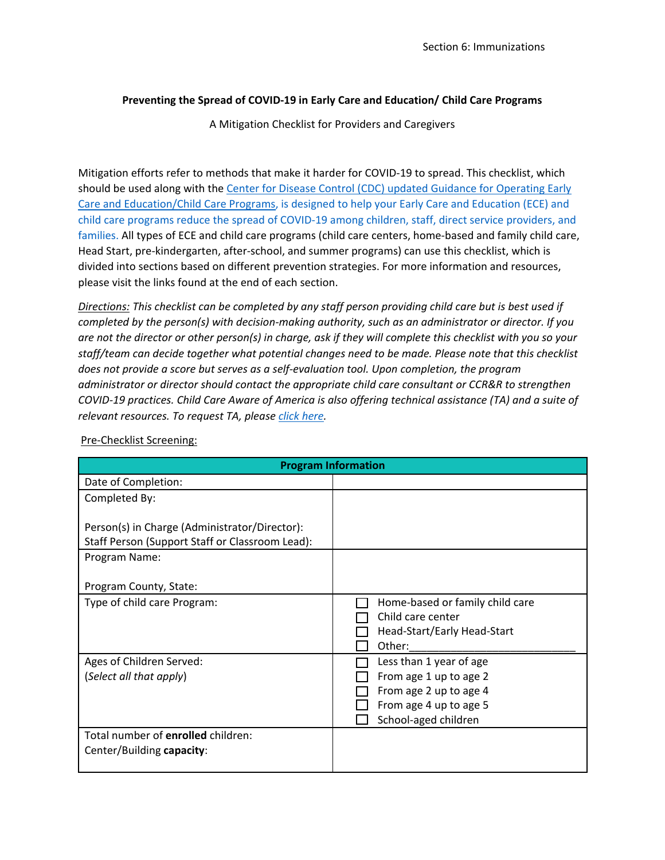## **Preventing the Spread of COVID-19 in Early Care and Education/ Child Care Programs**

A Mitigation Checklist for Providers and Caregivers

Mitigation efforts refer to methods that make it harder for COVID-19 to spread. This checklist, which should be used along with the Center for [Disease Control \(CDC\) updated Guidance for Operating Early](https://www.cdc.gov/coronavirus/2019-ncov/community/schools-childcare/child-care-guidance.html)  [Care and Education/Child Care Programs,](https://www.cdc.gov/coronavirus/2019-ncov/community/schools-childcare/child-care-guidance.html) is designed to help your Early Care and Education (ECE) and child care programs reduce the spread of COVID-19 among children, staff, direct service providers, and families. All types of ECE and child care programs (child care centers, home-based and family child care, Head Start, pre-kindergarten, after-school, and summer programs) can use this checklist, which is divided into sections based on different prevention strategies. For more information and resources, please visit the links found at the end of each section.

*Directions: This checklist can be completed by any staff person providing child care but is best used if completed by the person(s) with decision-making authority, such as an administrator or director. If you are not the director or other person(s) in charge, ask if they will complete this checklist with you so your staff/team can decide together what potential changes need to be made. Please note that this checklist does not provide a score but serves as a self-evaluation tool. Upon completion, the program administrator or director should contact the appropriate child care consultant or CCR&R to strengthen COVID-19 practices. Child Care Aware of America is also offering technical assistance (TA) and a suite of relevant resources. To request TA, please [click here.](https://info.childcareaware.org/request-technical-assistance-from-ccaoa)* 

| <b>Program Information</b>                      |                                                                                               |  |
|-------------------------------------------------|-----------------------------------------------------------------------------------------------|--|
| Date of Completion:                             |                                                                                               |  |
| Completed By:                                   |                                                                                               |  |
| Person(s) in Charge (Administrator/Director):   |                                                                                               |  |
| Staff Person (Support Staff or Classroom Lead): |                                                                                               |  |
| Program Name:                                   |                                                                                               |  |
| Program County, State:                          |                                                                                               |  |
| Type of child care Program:                     | Home-based or family child care<br>Child care center<br>Head-Start/Early Head-Start<br>Other: |  |
| Ages of Children Served:                        | Less than 1 year of age                                                                       |  |
| (Select all that apply)                         | From age 1 up to age 2                                                                        |  |
|                                                 | From age 2 up to age 4                                                                        |  |
|                                                 | From age 4 up to age 5                                                                        |  |
|                                                 | School-aged children                                                                          |  |
| Total number of enrolled children:              |                                                                                               |  |
| Center/Building capacity:                       |                                                                                               |  |

Pre-Checklist Screening: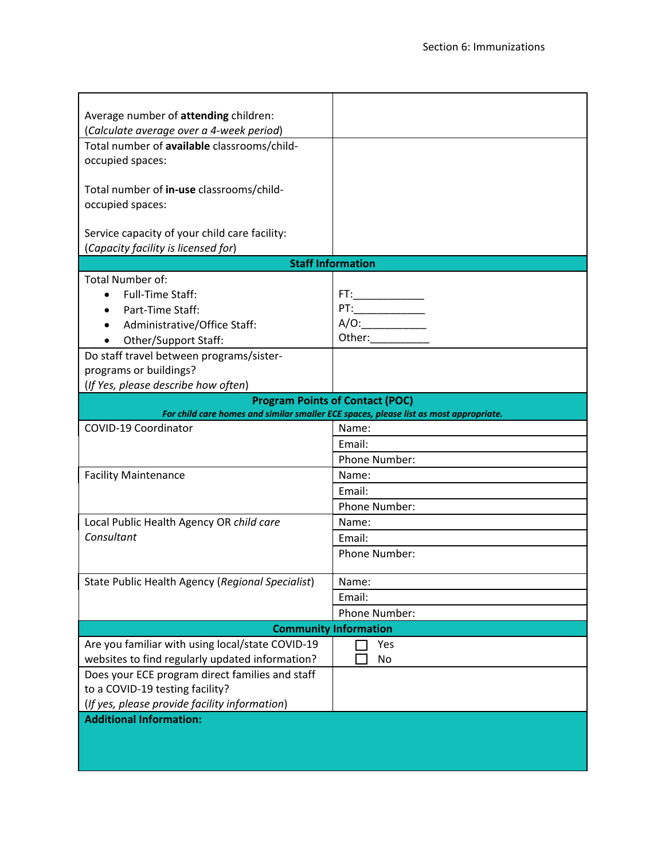| Average number of attending children:                                                 |                                 |  |  |  |
|---------------------------------------------------------------------------------------|---------------------------------|--|--|--|
| (Calculate average over a 4-week period)                                              |                                 |  |  |  |
| Total number of available classrooms/child-                                           |                                 |  |  |  |
| occupied spaces:                                                                      |                                 |  |  |  |
|                                                                                       |                                 |  |  |  |
| Total number of in-use classrooms/child-                                              |                                 |  |  |  |
| occupied spaces:                                                                      |                                 |  |  |  |
|                                                                                       |                                 |  |  |  |
| Service capacity of your child care facility:                                         |                                 |  |  |  |
| (Capacity facility is licensed for)                                                   |                                 |  |  |  |
| <b>Staff Information</b>                                                              |                                 |  |  |  |
| <b>Total Number of:</b>                                                               |                                 |  |  |  |
| <b>Full-Time Staff:</b>                                                               |                                 |  |  |  |
| Part-Time Staff:                                                                      |                                 |  |  |  |
| Administrative/Office Staff:                                                          | $A/O: \underline{\hspace{2cm}}$ |  |  |  |
| <b>Other/Support Staff:</b>                                                           | Other:                          |  |  |  |
| Do staff travel between programs/sister-                                              |                                 |  |  |  |
| programs or buildings?                                                                |                                 |  |  |  |
| (If Yes, please describe how often)                                                   |                                 |  |  |  |
| <b>Program Points of Contact (POC)</b>                                                |                                 |  |  |  |
| For child care homes and similar smaller ECE spaces, please list as most appropriate. |                                 |  |  |  |
| COVID-19 Coordinator                                                                  | Name:                           |  |  |  |
|                                                                                       | Email:                          |  |  |  |
|                                                                                       | Phone Number:                   |  |  |  |
| <b>Facility Maintenance</b>                                                           | Name:                           |  |  |  |
|                                                                                       | Email:                          |  |  |  |
|                                                                                       | Phone Number:                   |  |  |  |
| Local Public Health Agency OR child care                                              | Name:                           |  |  |  |
| Consultant                                                                            | Email:                          |  |  |  |
|                                                                                       | Phone Number:                   |  |  |  |
|                                                                                       |                                 |  |  |  |
| State Public Health Agency (Regional Specialist)                                      | Name:                           |  |  |  |
|                                                                                       | Email:                          |  |  |  |
|                                                                                       | Phone Number:                   |  |  |  |
|                                                                                       | <b>Community Information</b>    |  |  |  |
| Are you familiar with using local/state COVID-19                                      | Yes                             |  |  |  |
| websites to find regularly updated information?                                       | No                              |  |  |  |
| Does your ECE program direct families and staff                                       |                                 |  |  |  |
| to a COVID-19 testing facility?                                                       |                                 |  |  |  |
| (If yes, please provide facility information)                                         |                                 |  |  |  |
| <b>Additional Information:</b>                                                        |                                 |  |  |  |
|                                                                                       |                                 |  |  |  |
|                                                                                       |                                 |  |  |  |
|                                                                                       |                                 |  |  |  |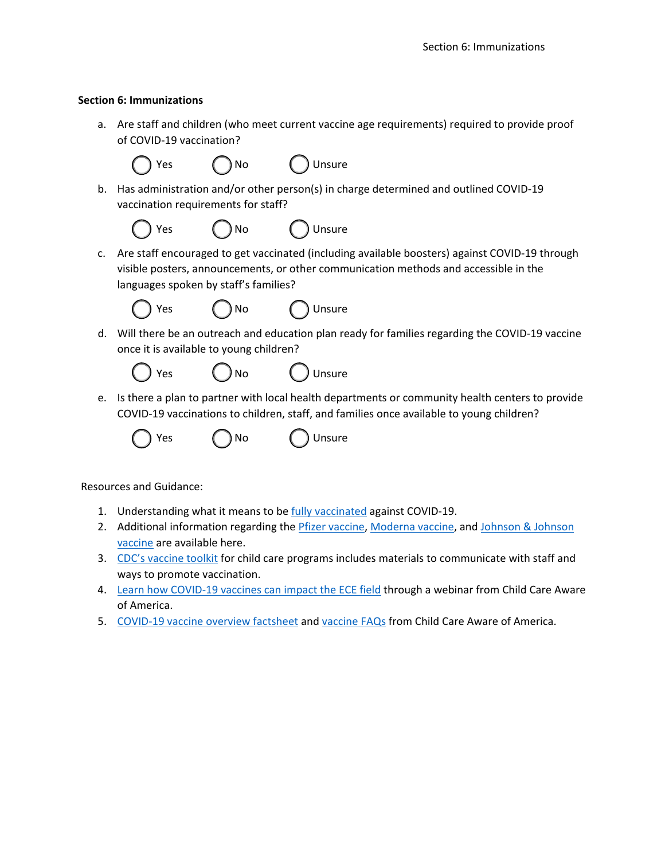## **Section 6: Immunizations**

a. Are staff and children (who meet current vaccine age requirements) required to provide proof of COVID-19 vaccination?



b. Has administration and/or other person(s) in charge determined and outlined COVID-19 vaccination requirements for staff?



c. Are staff encouraged to get vaccinated (including available boosters) against COVID-19 through visible posters, announcements, or other communication methods and accessible in the languages spoken by staff's families?



d. Will there be an outreach and education plan ready for families regarding the COVID-19 vaccine once it is available to young children?



e. Is there a plan to partner with local health departments or community health centers to provide COVID-19 vaccinations to children, staff, and families once available to young children?

| $\bigcirc$ Yes | $\bigcirc$ No | $\bigcirc$ Unsure |
|----------------|---------------|-------------------|
|                |               |                   |

Resources and Guidance:

- 1. Understanding what it means to be [fully vaccinated](https://www.cdc.gov/coronavirus/2019-ncov/vaccines/fully-vaccinated.html) against COVID-19.
- 2. Additional information regarding the [Pfizer vaccine,](https://www.cdc.gov/coronavirus/2019-ncov/vaccines/different-vaccines/Pfizer-BioNTech.html) [Moderna vaccine,](https://www.cdc.gov/coronavirus/2019-ncov/vaccines/different-vaccines/Moderna.html) and [Johnson & Johnson](https://www.cdc.gov/coronavirus/2019-ncov/vaccines/different-vaccines/janssen.html) [vaccine](https://www.cdc.gov/coronavirus/2019-ncov/vaccines/different-vaccines/janssen.html) are available here.
- 3. [CDC's vaccine toolkit](https://www.cdc.gov/coronavirus/2019-ncov/vaccines/toolkits/schools-childcare.html) for child care programs includes materials to communicate with staff and ways to promote vaccination.
- 4. [Learn how COVID-19 vaccines can impact the ECE field](https://info.childcareaware.org/covid-19-vaccine-webinar) through a webinar from Child Care Aware of America.
- 5. [COVID-19 vaccine overview factsheet](https://www.childcareaware.org/wp-content/uploads/2021/03/vaccine-fact-sheet-final-31021.pdf) an[d vaccine FAQs](https://www.childcareaware.org/wp-content/uploads/2021/05/VaccineFAQ-Health-05132021.pdf) from Child Care Aware of America.